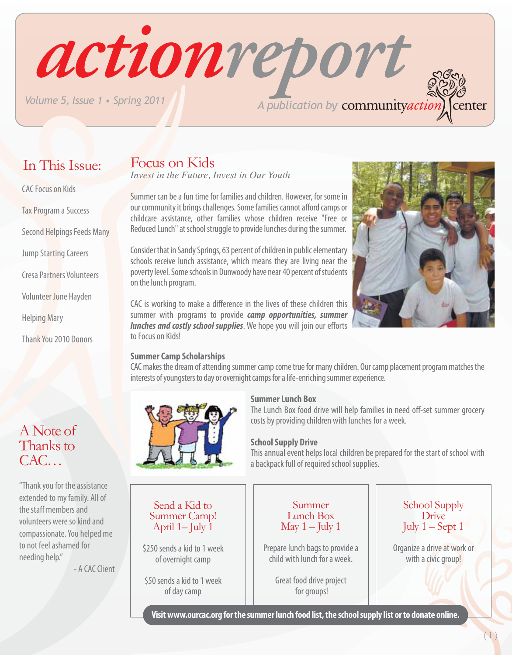In This Issue:

CAC Focus on Kids

Tax Program a Success

Jump Starting Careers

Cresa Partners Volunteers

Volunteer June Hayden

Thank You 2010 Donors

Helping Mary

Second Helpings Feeds Many

# Focus on Kids

*Invest in the Future, Invest in Our Youth*

Summer can be a fun time for families and children. However, for some in our community it brings challenges. Some families cannot afford camps or childcare assistance, other families whose children receive "Free or Reduced Lunch" at school struggle to provide lunches during the summer.

Consider that in Sandy Springs, 63 percent of children in public elementary schools receive lunch assistance, which means they are living near the poverty level. Some schools in Dunwoody have near 40 percent of students on the lunch program.

CAC is working to make a difference in the lives of these children this summer with programs to provide *camp opportunities, summer lunches and costly school supplies*. We hope you will join our efforts to Focus on Kids!

### **Summer Camp Scholarships**

CAC makes the dream of attending summer camp come true for many children. Our camp placement program matches the interests of youngsters to day or overnight camps for a life-enriching summer experience.



### **Summer Lunch Box**

The Lunch Box food drive will help families in need off-set summer grocery costs by providing children with lunches for a week.

### **School Supply Drive**

This annual event helps local children be prepared for the start of school with a backpack full of required school supplies.

Send a Kid to Summer Camp! April  $1$ – July  $\overline{1}$ 

\$250 sends a kid to 1 week of overnight camp

\$50 sends a kid to 1 week of day camp

#### Summer Lunch Box May  $1 -$  July 1

Prepare lunch bags to provide a child with lunch for a week.

> Great food drive project for groups!

### School Supply **Drive** July  $1 -$  Sept 1

Organize a drive at work or with a civic group!

**Visit www.ourcac.org for the summer lunch food list, the school supply list or to donate online.**

"Thank you for the assistance extended to my family. All of the staff members and volunteers were so kind and compassionate. You helped me to not feel ashamed for needing help."

- A CAC Client



# actionreport *A publication by Volume 5, Issue 1 • Spring 2011* center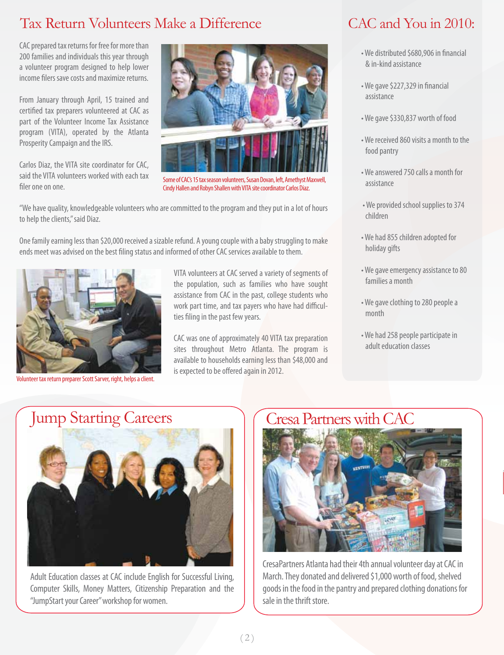# Tax Return Volunteers Make a Difference

CAC prepared tax returns for free for more than 200 families and individuals this year through a volunteer program designed to help lower income filers save costs and maximize returns.

From January through April, 15 trained and certified tax preparers volunteered at CAC as part of the Volunteer Income Tax Assistance program (VITA), operated by the Atlanta Prosperity Campaign and the IRS.

Carlos Diaz, the VITA site coordinator for CAC, said the VITA volunteers worked with each tax filer one on one.



Some of CAC's 15 tax season volunteers, Susan Dovan, left, Amethyst Maxwell, Cindy Hallen and Robyn Shallen with VITA site coordinator Carlos Diaz.

"We have quality, knowledgeable volunteers who are committed to the program and they put in a lot of hours to help the clients," said Diaz.

One family earning less than \$20,000 received a sizable refund. A young couple with a baby struggling to make ends meet was advised on the best filing status and informed of other CAC services available to them.



Volunteer tax return preparer Scott Sarver, right, helps a client.

VITA volunteers at CAC served a variety of segments of the population, such as families who have sought assistance from CAC in the past, college students who work part time, and tax payers who have had difficulties filing in the past few years.

CAC was one of approximately 40 VITA tax preparation sites throughout Metro Atlanta. The program is available to households earning less than \$48,000 and is expected to be offered again in 2012.

### CAC and You in 2010:

- We distributed \$680,906 in financial & in-kind assistance
- We gave \$227,329 in financial assistance
- We gave \$330,837 worth of food
- We received 860 visits a month to the food pantry
- We answered 750 calls a month for assistance
- We provided school supplies to 374 children
- We had 855 children adopted for holiday gifts
- We gave emergency assistance to 80 families a month
- We gave clothing to 280 people a month
- We had 258 people participate in adult education classes

# Jump Starting Careers



Adult Education classes at CAC include English for Successful Living, Computer Skills, Money Matters, Citizenship Preparation and the "JumpStart your Career" workshop for women.

# Cresa Partners with CAC



CresaPartners Atlanta had their 4th annual volunteer day at CAC in March. They donated and delivered \$1,000 worth of food, shelved goods in the food in the pantry and prepared clothing donations for sale in the thrift store.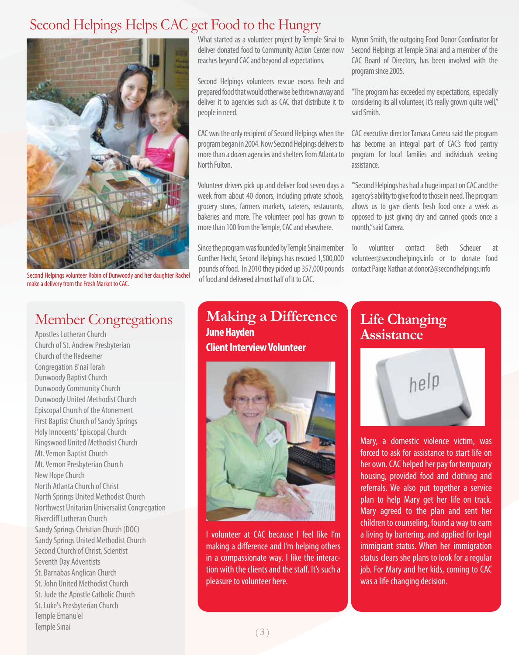### Second Helpings Helps CAC get Food to the Hungry



Second Helpings volunteer Robin of Dunwoody and her daughter Rachel make a delivery from the Fresh Market to CAC.

### Member Congregations

Apostles Lutheran Church Church of St. Andrew Presbyterian Church of the Redeemer Congregation B'nai Torah Dunwoody Baptist Church Dunwoody Community Church Dunwoody United Methodist Church Episcopal Church of the Atonement First Baptist Church of Sandy Springs Holy Innocents' Episcopal Church Kingswood United Methodist Church Mt. Vernon Baptist Church Mt. Vernon Presbyterian Church New Hope Church North Atlanta Church of Christ North Springs United Methodist Church Northwest Unitarian Universalist Congregation Rivercliff Lutheran Church Sandy Springs Christian Church (DOC) Sandy Springs United Methodist Church Second Church of Christ, Scientist Seventh Day Adventists St. Barnabas Anglican Church St. John United Methodist Church St. Jude the Apostle Catholic Church St. Luke's Presbyterian Church Temple Emanu'el Temple Sinai

What started as a volunteer project by Temple Sinai to deliver donated food to Community Action Center now reaches beyond CAC and beyond all expectations.

Second Helpings volunteers rescue excess fresh and prepared food that would otherwise be thrown away and deliver it to agencies such as CAC that distribute it to people in need.

CAC was the only recipient of Second Helpings when the program began in 2004. Now Second Helpings delivers to more than a dozen agencies and shelters from Atlanta to North Fulton.

Volunteer drivers pick up and deliver food seven days a week from about 40 donors, including private schools, grocery stores, farmers markets, caterers, restaurants, bakeries and more. The volunteer pool has grown to more than 100 from the Temple, CAC and elsewhere.

Since the program was founded by Temple Sinai member Gunther Hecht, Second Helpings has rescued 1,500,000 pounds of food. In 2010 they picked up 357,000 pounds of food and delivered almost half of it to CAC.

Myron Smith, the outgoing Food Donor Coordinator for Second Helpings at Temple Sinai and a member of the CAC Board of Directors, has been involved with the program since 2005.

"The program has exceeded my expectations, especially considering its all volunteer, it's really grown quite well," said Smith.

CAC executive director Tamara Carrera said the program has become an integral part of CAC's food pantry program for local families and individuals seeking assistance.

'"Second Helpings has had a huge impact on CAC and the agency's ability to give food to those in need. The program allows us to give clients fresh food once a week as opposed to just giving dry and canned goods once a month," said Carrera.

To volunteer contact Beth Scheuer at volunteer@secondhelpings.info or to donate food contact Paige Nathan at donor2@secondhelpings.info

**Making a Difference June Hayden Client Interview Volunteer**



I volunteer at CAC because I feel like I'm making a difference and I'm helping others in a compassionate way. I like the interaction with the clients and the staff. It's such a pleasure to volunteer here.

### **Life Changing Assistance**



Mary, a domestic violence victim, was forced to ask for assistance to start life on her own. CAC helped her pay for temporary housing, provided food and clothing and referrals. We also put together a service plan to help Mary get her life on track. Mary agreed to the plan and sent her children to counseling, found a way to earn a living by bartering, and applied for legal immigrant status. When her immigration status clears she plans to look for a regular job. For Mary and her kids, coming to CAC was a life changing decision.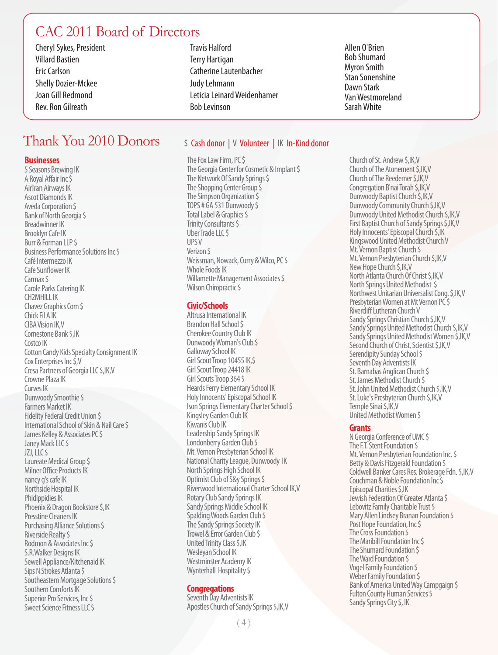### CAC 2011 Board of Directors

Cheryl Sykes, President Villard Bastien Eric Carlson Shelly Dozier-Mckee Joan Gill Redmond Rev. Ron Gilreath

### Thank You 2010 Donors

#### **Businesses**

5 Seasons Brewing IK A Royal Affair Inc \$ AirTran Airways IK Ascot Diamonds IK Aveda Corporation \$ Bank of North Georgia \$ Breadwinner IK Brooklyn Cafe IK Burr & Forman LLP \$ Business Performance Solutions Inc \$ Café Intermezzo IK Cafe Sunflower IK Carmax \$ Carole Parks Catering IK CH2MHILL IK Chavez Graphics Com \$ Chick Fil A IK CIBA Vision IK,V Cornestone Bank \$,IK Costco IK Cotton Candy Kids Specialty Consignment IK Cox Enterprises Inc \$,V Cresa Partners of Georgia LLC \$,IK,V Crowne Plaza IK Curves IK Dunwoody Smoothie \$ Farmers Market IK Fidelity Federal Credit Union \$ International School of Skin & Nail Care \$ James Kelley & Associates PC \$ Janey Mack LLC \$ JZJ, LLC \$ Laureate Medical Group \$ Milner Office Products IK nancy g's cafe IK Northside Hospital IK Phidippidies IK Phoenix & Dragon Bookstore \$,IK Presstine Cleaners IK Purchasing Alliance Solutions \$ Riverside Realty \$ Rodmon & Associates Inc \$ S.R.Walker Designs IK Sewell Appliance/Kitchenaid IK Sips N Strokes Atlanta \$ Southeastern Mortgage Solutions \$ Southern Comforts IK Superior Pro Services, Inc \$ Sweet Science Fitness LLC \$

Travis Halford Terry Hartigan Catherine Lautenbacher Judy Lehmann Leticia Leinard Weidenhamer Bob Levinson

#### Allen O'Brien Bob Shumard Myron Smith Stan Sonenshine Dawn Stark Van Westmoreland Sarah White

#### \$ Cash donor | V Volunteer | IK In-Kind donor

The Fox Law Firm, PC \$ The Georgia Center for Cosmetic & Implant \$ The Network Of Sandy Springs \$ The Shopping Center Group  $\bar{\zeta}$ The Simpson Organization \$ TOPS # GA 531 Dunwoody \$ Total Label & Graphics \$ Trinity Consultants \$ Uber Trade LLC \$ UPS V Verizon \$ Weissman, Nowack, Curry & Wilco, PC \$ Whole Foods IK Willamette Management Associates \$ Wilson Chiropractic \$

#### **Civic/Schools**

Altrusa International IK Brandon Hall School \$ Cherokee Country Club IK Dunwoody Woman's Club \$ Galloway School IK Girl Scout Troop 10455 IK,\$ Girl Scout Troop 24418 IK Girl Scouts Troop 364 \$ Heards Ferry Elementary School IK Holy Innocents' Episcopal School IK Ison Springs Elementary Charter School \$ Kingsley Garden Club IK Kiwanis Club IK Leadership Sandy Springs IK Londonberry Garden Club \$ Mt. Vernon Presbyterian School IK National Charity League, Dunwoody IK North Springs High School IK Optimist Club of S&y Springs \$ Riverwood International Charter School IK,V Rotary Club Sandy Springs IK Sandy Springs Middle School IK Spalding Woods Garden Club \$ The Sandy Springs Society IK Trowel & Error Garden Club \$ United Trinity Class \$,IK Wesleyan School IK Westminster Academy IK Wynterhall Hospitality \$

#### **Congregations**

Seventh Day Adventists IK Apostles Church of Sandy Springs \$,IK,V

Church of St. Andrew \$,IK,V Church of The Atonement \$,IK,V Church of The Reedemer \$,IK,V Congregation B'nai Torah \$,IK,V Dunwoody Baptist Church \$,IK,V Dunwoody Community Church \$,IK,V Dunwoody United Methodist Church \$,IK,V First Baptist Church of Sandy Springs \$,IK,V Holy Innocents' Episcopal Church \$,IK Kingswood United Methodist Church V Mt. Vernon Baptist Church \$ Mt. Vernon Presbyterian Church \$,IK,V New Hope Church \$,IK,V North Atlanta Church Of Christ \$,IK,V North Springs United Methodist \$ Northwest Unitarian Universalist Cong. \$,IK,V Presbyterian Women at Mt Vernon PC\$ Rivercliff Lutheran Church V Sandy Springs Christian Church \$,IK,V Sandy Springs United Methodist Church \$,IK,V Sandy Springs United Methodist Women \$, IK, V Second Church of Christ, Scientist \$,IK,V Serendipity Sunday School \$ Seventh Day Adventists IK St. Barnabas Anglican Church \$ St. James Methodist Church \$ St. John United Methodist Church \$,IK,V St. Luke's Presbyterian Church \$,IK,V Temple Sinai \$,IK,V United Methodist Women \$

#### **Grants**

N Georgia Conference of UMC \$ The F.T. Stent Foundation \$ Mt. Vernon Presbyterian Foundation Inc. \$ Betty & Davis Fitzgerald Foundation \$ Coldwell Banker Cares Res. Brokerage Fdn. \$,IK,V Couchman & Noble Foundation Inc \$ Episcopal Charities \$,IK Jewish Federation Of Greater Atlanta \$ Lebovitz Family Charitable Trust \$ Mary Allen Lindsey Branan Foundation \$ Post Hope Foundation, Inc \$ The Cross Foundation \$ The Maribill Foundation Inc \$ The Shumard Foundation \$ The Ward Foundation \$ Vogel Family Foundation \$ Weber Family Foundation S Bank of America United Way Campgaign \$ Fulton County Human Services \$ Sandy Springs City \$, IK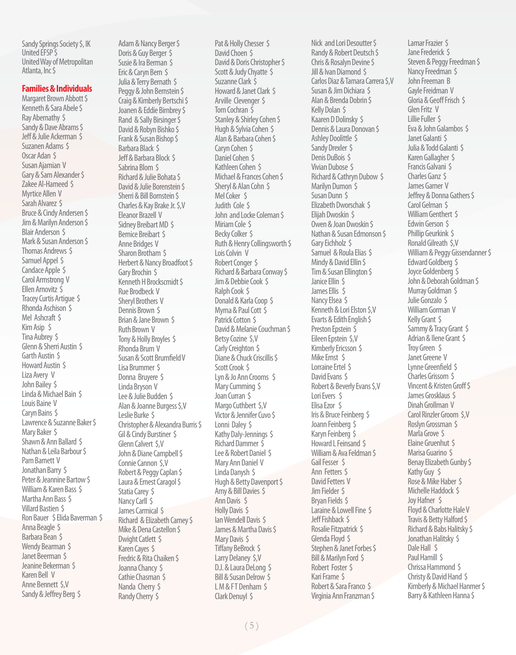Sandy Springs Society \$, IK United EFSP \$ United Way of Metropolitan Atlanta, Inc \$

#### **Families & Individuals**

Margaret Brown Abbott \$ Kenneth & Sara Abele \$ Ray Abernathy \$ Sandy & Dave Abrams \$ Jeff & Julie Ackerman \$ Suzanen Adams \$ Oscar Adan \$ Susan Ajamian V Gary & Sam Alexander \$ Zakee Al-Hameed \$ Myrtice Allen V Sarah Alvarez \$ Bruce & Cindy Andersen \$ Jim & Marilyn Anderson \$ Blair Anderson \$ Mark & Susan Anderson \$ Thomas Andrews \$ Samuel Appel \$ Candace Apple \$ Carol Armstrong V Ellen Arnovitz \$ Tracey Curtis Artigue \$ Rhonda Aschison \$ Mel Ashcraft \$ Kim Asip \$ Tina Aubrey \$ Glenn & Sherri Austin \$ Garth Austin \$ Howard Austin \$ Liza Avery V John Bailey \$ Linda & Michael Bain \$ Louis Baine V Caryn Bains \$ Lawrence & Suzanne Baker \$ Mary Baker \$ Shawn & Ann Ballard \$ Nathan & Leila Barbour \$ Pam Barnett V Jonathan Barry \$ Peter & Jeannine Bartow \$ William & Karen Bass \$ Martha Ann Bass \$ Villard Bastien \$ Ron Bauer \$ Elida Baverman \$ Anna Beagle \$ Barbara Bean \$ Wendy Bearman \$ Janet Beerman \$ Jeanine Bekerman \$ Karen Bell V Anne Bennett \$,V Sandy & Jeffrey Berg \$

Adam & Nancy Berger \$ Doris & Guy Berger S Susie & Ira Berman \$ Eric & Caryn Bern \$ Julia & Terry Bernath \$ Peggy & John Bernstein \$ Craig & Kimberly Bertschi \$ Joanen & Eddie Birnbrey \$ Rand & Sally Birsinger \$ David & Robyn Bishko \$ Frank & Susan Bishop \$ Barbara Black \$ Jeff & Barbara Block \$ Sabrina Blom \$ Richard & Julie Bohata \$ David & Julie Borenstein \$ Sherri & Bill Bornstein \$ Charles & Kay Brake Jr. \$,V Eleanor Brazell V Sidney Breibart MD \$ Bernice Breibart \$ Anne Bridges V Sharon Brotham \$ Herbert & Nancy Broadfoot \$ Gary Brochin \$ Kenneth H Brockscmidt \$ Rue Brodbeck V Sheryl Brothers V Dennis Brown \$ Brian & Jane Brown \$ Ruth Brown V Tony & Holly Broyles \$ Rhonda Brum V Susan & Scott Brumfield V Lisa Brummer \$ Donna Bruyere \$ Linda Bryson V Lee & Julie Budden \$ Alan & Joanne Burgess \$,V Leslie Burke \$ Christopher & Alexandra Burris \$ Gil & Cindy Burstiner \$ Glenn Calvert \$,V John & Diane Campbell \$ Connie Cannon \$,V Robert & Peggy Caplan \$ Laura & Ernest Caragol \$ Statia Carev \$ Nancy Carll \$ James Carmical \$ Richard & Elizabeth Camey \$ Mike & Dena Castellon \$ Dwight Catlett \$ Karen Cayes \$ Fredric & Rita Chaiken \$ Joanna Chancy \$ Cathie Chasman \$ Nanda Cherry \$ Randy Cherry \$

Pat & Holly Chesser \$ David Choen \$ David & Doris Christopher \$ Scott & Judy Chyatte \$ Suzanne Clark \$ Howard & Janet Clark \$ Arville Clevenger \$ Tom Cochran \$ Stanley & Shirley Cohen \$ Hugh & Sylvia Cohen \$ Alan & Barbara Cohen \$ Caryn Cohen \$ Daniel Cohen \$ Kathleen Cohen \$ Michael & Frances Cohen \$ Sheryl & Alan Cohn \$ Mel Coker \$ Judith Cole \$ John and Locke Coleman \$ Miriam Cole \$ Becky Colker \$ Ruth & Henry Collingsworth \$ Lois Colvin V Robert Conger \$ Richard & Barbara Conway \$ Jim & Debbie Cook \$ Ralph Cook \$ Donald & Karla Coop \$ Myrna & Paul Cott \$ Patrick Cotton \$ David & Melanie Couchman \$ Betsy Cozine \$,V Carly Creighton \$ Diane & Chuck Criscillis \$ Scott Crook \$ Lyn & Jo Ann Crooms \$ Mary Cumming \$ Joan Curran \$ Margo Cuthbert \$,V Victor & Jennifer Cuvo \$ Lonni Daley \$ Kathy Daly-Jennings \$ Richard Dammer \$ Lee & Robert Daniel \$ Mary Ann Daniel V Linda Danysh \$ Hugh & Betty Davenport \$ Amy & Bill Davies \$ Ann Davis \$ Holly Davis \$ Ian Wendell Davis \$ James & Martha Davis \$ Mary Davis \$ Tiffany BeBrock \$ Larry Delaney \$,V D.J. & Laura DeLong \$ Bill & Susan Delrow \$ L M & FT Denham \$ Clark Denuyl \$

Nick and Lori Desoutter \$ Randy & Robert Deutsch \$ Chris & Rosalyn Devine \$ Jill & Ivan Diamond \$ Carlos Diaz & Tamara Carrera \$,V Susan & Jim Dichiara \$ Alan & Brenda Dobrin \$ Kelly Dolan \$ Kaaren D Dolinsky \$ Dennis & Laura Donovan \$ Ashley Doolittle \$ Sandy Drexler \$ Denis DuBois \$ Vivian Dubose \$ Richard & Cathryn Dubow \$ Marilyn Dumon \$ Susan Dunn \$ Elizabeth Dworschak \$ Elijah Dwoskin \$ Owen & Joan Dwoskin \$ Nathan & Susan Edmonson \$ Gary Eichholz \$ Samuel & Roula Elias \$ Mindy & David Ellin \$ Tim & Susan Ellington \$ Janice Ellin \$ James Ellis \$ Nancy Elsea \$ Kenneth & Lori Elston \$,V Evarts & Edith English \$ Preston Epstein \$ Eileen Epstein \$,V Kimberly Ericsson \$ Mike Ernst \$ Lorraine Ertel \$ David Evans \$ Robert & Beverly Evans \$,V Lori Evers \$ Elisa Ezor \$ Iris & Bruce Feinberg \$ Joann Feinberg \$ Karyn Feinberg \$ Howard L Feinsand \$ William & Ava Feldman \$ Gail Fesser \$ Ann Fetters \$ David Fetters V Jim Fielder \$ Bryan Fields \$ Laraine & Lowell Fine \$ Jeff Fishback \$ Rosalie Fitzpatrick \$ Glenda Floyd \$ Stephen & Janet Forbes \$ Bill & Marilyn Ford \$ Robert Foster \$ Kari Frame \$ Robert & Sara Franco \$ Virginia Ann Franzman \$

Lamar Frazier \$ Jane Frederick \$ Steven & Peggy Freedman \$ Nancy Freedman \$ John Freeman B Gayle Freidman V Gloria & Geoff Frisch \$ Glen Fritz V Lillie Fuller \$ Eva & John Galambos \$ Janet Galanti \$ Julia & Todd Galanti \$ Karen Gallagher \$ Francis Galvani \$ Charles Ganz \$ James Garner V Jeffrey & Donna Gathers \$ Carol Gelman \$ William Genthert \$ Edwin Gerson \$ Phillip Geurkink \$ Ronald Gilreath \$,V William & Peggy Gissendanner \$ Edward Goldberg \$ Joyce Goldenberg \$ John & Deborah Goldman \$ Murray Goldman \$ Julie Gonzalo \$ William Gorman V Kelly Grant \$ Sammy & Tracy Grant \$ Adrian & Ilene Grant \$ Troy Green \$ Janet Greene V Lynne Greenfield \$ Charles Grissom \$ Vincent & Kristen Groff \$ James Grosklaus \$ Dinah Grollman V Carol Rinzler Groom \$,V Roslyn Grossman \$ Marla Grove \$ Elaine Gruenhut \$ Marisa Guarino \$ Benay Elizabeth Gunby \$ Kathy Guy \$ Rose & Mike Haber \$ Michelle Haddock \$ Joy Hafner \$ Floyd & Charlotte Hale V Travis & Betty Halford \$ Richard & Babs Halitsky \$ Jonathan Halitsky \$ Dale Hall \$ Paul Hamill \$ Chrissa Hammond \$ Christy & David Hand \$ Kimberly & Michael Hanmer \$ Barry & Kathleen Hanna \$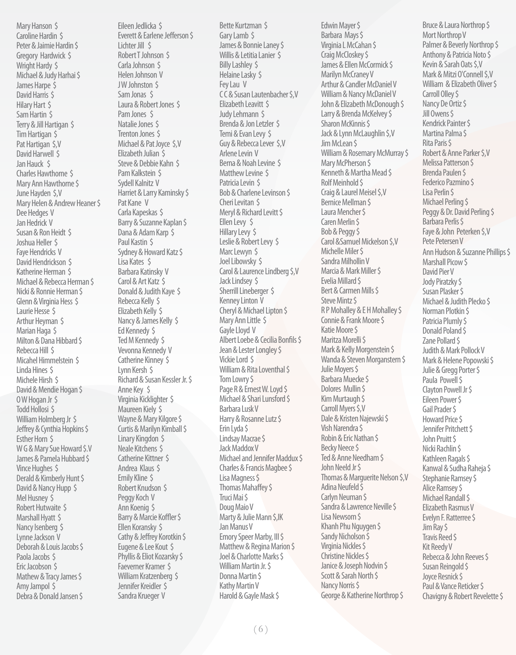Mary Hanson \$ Caroline Hardin \$ Peter & Jaimie Hardin \$ Gregory Hardwick \$ Wright Hardy \$ Michael & Judy Harhai \$ James Harpe \$ David Harris \$ Hilary Hart \$ Sam Hartin \$ Terry & Jill Hartigan \$ Tim Hartigan \$ Pat Hartigan \$,V David Harwell \$ Jan Hauck \$ Charles Hawthorne \$ Mary Ann Hawthorne \$ June Hayden \$,V Mary Helen & Andrew Heaner \$ Dee Hedges V Jan Hedrick V Susan & Ron Heidt \$ Joshua Heller \$ Faye Hendricks V David Hendrickson \$ Katherine Herman \$ Michael & Rebecca Herman \$ Nicki & Ronnie Herman \$ Glenn & Virginia Hess \$ Laurie Hesse \$ Arthur Heyman \$ Marian Haga \$ Milton & Dana Hibbard \$ Rebecca Hill \$ Micahel Himmelstein \$ Linda Hines \$ Michele Hirsh \$ David & Mendie Hogan \$ O W Hogan Jr \$ Todd Hollosi \$ William Holmberg Jr \$ Jeffrey & Cynthia Hopkins \$ Esther Horn \$ W G & Mary Sue Howard \$.V James & Pamela Hubbard \$ Vince Hughes \$ Derald & Kimberly Hunt \$ David & Nancy Hupp \$ Mel Husney \$ Robert Hutwaite \$ Marshall Hyatt \$ Nancy Isenberg \$ Lynne Jackson V Deborah & Louis Jacobs \$ Paola Jacobs \$ Eric Jacobson \$ Mathew & Tracy James \$ Amy Jampol \$ Debra & Donald Jansen \$

Eileen Jedlicka \$ Everett & Earlene Jefferson \$ Lichter Jill \$ Robert T Johnson \$ Carla Johnson \$ Helen Johnson V JW Johnston \$ Sam Jonas \$ Laura & Robert Jones \$ Pam Jones \$ Natalie Jones \$ Trenton Jones \$ Michael & Pat Joyce \$,V Elizabeth Julian \$ Steve & Debbie Kahn \$ Pam Kalkstein \$ Sydell Kalnitz V Harriet & Larry Kaminsky \$ Pat Kane V Carla Kapeskas \$ Barry & Suzanne Kaplan \$ Dana & Adam Karp \$ Paul Kastin \$ Sydney & Howard Katz \$ Lisa Kates \$ Barbara Katinsky V Carol & Art Katz \$ Donald & Judith Kaye \$ Rebecca Kelly \$ Elizabeth Kelly \$ Nancy & James Kelly \$ Ed Kennedy \$ Ted M Kennedy \$ Vevonna Kennedy V Catherine Kinney \$ Lynn Kersh \$ Richard & Susan Kessler Jr. \$ Anne Key \$ Virginia Kicklighter \$ Maureen Kiely \$ Wayne & Mary Kilgore \$ Curtis & Marilyn Kimball \$ Linary Kingdon \$ Neale Kitchens \$ Catherine Kittner \$ Andrea Klaus \$ Emily Kline \$ Robert Knudson \$ Peggy Koch V Ann Koenig \$ Barry & Marcie Koffler \$ Ellen Koransky \$ Cathy & Jeffrey Korotkin \$ Eugene & Lee Kout \$ Phyllis & Eliot Kozarsky \$ Faeverner Kramer \$ William Kratzenberg \$ Jennifer Kreidler \$ Sandra Krueger V

Bette Kurtzman \$ Gary Lamb \$ James & Bonnie Laney \$ Willis & Letitia Lanier \$ Billy Lashley \$ Helaine Lasky \$ Fey Lau V C C & Susan Lautenbacher \$,V Elizabeth Leavitt \$ Judy Lehmann \$ Brenda & Jon Letzler \$ Temi & Evan Levy \$ Guy & Rebecca Lever \$,V Arlene Levin V Berna & Noah Levine \$ Matthew Levine \$ Patricia Levin \$ Bob & Charlene Levinson \$ Cheri Levitan \$ Meryl & Richard Levitt \$ Ellen Levy \$ Hillary Levy \$ Leslie & Robert Levy \$ Marc Lewyn \$ Joel Libowsky \$ Carol & Laurence Lindberg \$,V Jack Lindsey \$ Sherrill Lineberger S Kenney Linton V Cheryl & Michael Lipton \$ Mary Ann Little \$ Gayle Lloyd V Albert Loebe & Cecilia Bonfils \$ Jean & Lester Longley \$ Vickie Lord \$ William & Rita Loventhal \$ Tom Lowry \$ Page R & Ernest W. Loyd \$ Michael & Shari Lunsford \$ Barbara Lusk V Harry & Rosanne Lutz \$ Erin Lyda \$ Lindsay Macrae \$ Jack Maddox V Michael and Jennifer Maddux \$ Charles & Francis Magbee \$ Lisa Magness \$ Thomas Mahaffey \$ Truci Mai \$ Doug Maio V Marty & Julie Mann \$,IK Jan Manus V Emory Speer Marby, III \$ Matthew & Regina Marion \$ Joel & Charlotte Marks \$ William Martin Jr. \$ Donna Martin \$ Kathy Martin V Harold & Gayle Mask \$

Edwin Mayer \$ Barbara Mays \$ Virginia L McCahan \$ Craig McCloskey \$ James & Ellen McCormick \$ Marilyn McCraney V Arthur & Candler McDaniel V William & Nancy McDaniel V John & Elizabeth McDonough \$ Larry & Brenda McKelvey \$ Sharon McKinnis \$ Jack & Lynn McLaughlin \$,V Jim McLean \$ William & Rosemary McMurray \$ Mary McPherson \$ Kenneth & Martha Mead \$ Rolf Meinhold \$ Craig & Laurel Meisel \$,V Bernice Mellman \$ Laura Mencher \$ Caren Merlin \$ Bob & Peggy \$ Carol &Samuel Mickelson \$,V Michelle Miler \$ Sandra Milhollin V Marcia & Mark Miller \$ Evelia Millard \$ Bert & Carmen Mills \$ Steve Mintz \$ R P Mohalley & E H Mohalley \$ Connie & Frank Moore \$ Katie Moore \$ Maritza Morelli \$ Mark & Kelly Morgenstein \$ Wanda & Steven Morganstern \$ Julie Moyers \$ Barbara Muecke \$ Dolores Mullin \$ Kim Murtaugh \$ Carroll Myers \$,V Dale & Kristen Najewski \$ Vish Narendra \$ Robin & Eric Nathan \$ Becky Neece \$ Ted & Anne Needham \$ John Neeld Jr \$ Thomas & Marguerite Nelson \$,V Adina Neufeld \$ Carlyn Neuman \$ Sandra & Lawrence Neville \$ Lisa Newsom \$ Khanh Phu Nguygen \$ Sandy Nicholson \$ Virginia Nickles \$ Christine Nickles \$ Janice & Joseph Nodvin \$ Scott & Sarah North \$ Nancy Norris \$ George & Katherine Northrop \$

Bruce & Laura Northrop \$ Mort Northrop V Palmer & Beverly Northrop \$ Anthony & Patricia Noto \$ Kevin & Sarah Oats \$,V Mark & Mitzi O'Connell \$,V William & Elizabeth Oliver \$ Carroll Olley \$ Nancy De Ortiz \$ Jill Owens \$ Kendrick Painter \$ Martina Palma \$ Rita Paris \$ Robert & Anne Parker \$,V Melissa Patterson \$ Brenda Paulen \$ Federico Pazmino \$ Lisa Perlin \$ Michael Perling \$ Peggy & Dr. David Perling \$ Barbara Perlis \$ Faye & John Peterken \$,V Pete Petersen V Ann Hudson & Suzanne Phillips \$ Marshall Picow \$ David Pier V Jody Piratzky \$ Susan Plasker \$ Michael & Judith Plecko \$ Norman Plotkin \$ Patricia Plumly \$ Donald Poland \$ Zane Pollard \$ Judith & Mark Pollock V Mark & Helene Popowski \$ Julie & Gregg Porter \$ Paula Powell \$ Clayton Powell Jr \$ Eileen Power \$ Gail Prader \$ Howard Price \$ Jennifer Pritchett \$ John Pruitt \$ Nicki Rachlin \$ Kathleen Ragals \$ Kanwal & Sudha Raheja \$ Stephanie Ramsey \$ Alice Ramsey \$ Michael Randall \$ Elizabeth Rasmus V Evelyn F. Ratterree \$ Jim Ray \$ Travis Reed \$ Kit Reedy V Rebecca & John Reeves \$ Susan Reingold \$ Joyce Resnick \$ Paul & Vance Reticker \$ Chavigny & Robert Revelette \$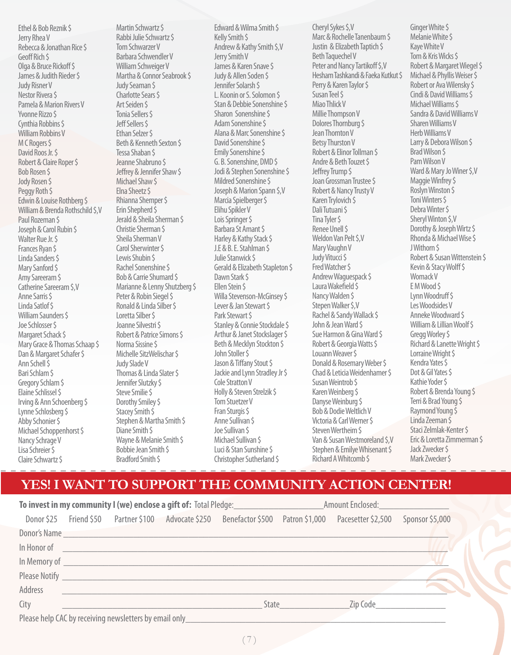Ethel & Bob Reznik \$ Jerry Rhea V Rebecca & Jonathan Rice \$ Geoff Rich \$ Olga & Bruce Rickoff \$ James & Judith Rieder \$ Judy Risner V Nestor Rivera \$ Pamela & Marion Rivers V Yvonne Rizzo \$ Cynthia Robbins \$ William Robbins V M C Rogers \$ David Roos Jr. \$ Robert & Claire Roper \$ Bob Rosen \$ Jody Rosen \$ Peggy Roth \$ Edwin & Louise Rothberg \$ William & Brenda Rothschild \$,V Paul Rozeman \$ Joseph & Carol Rubin \$ Walter Rue Jr. \$ Frances Ryan \$ Linda Sanders \$ Mary Sanford \$ Amy Sareeram \$ Catherine Sareeram \$,V Anne Sarris \$ Linda Satlof \$ William Saunders \$ Joe Schlosser \$ Margaret Schack \$ Mary Grace & Thomas Schaap \$ Dan & Margaret Schafer \$ Ann Schell \$ Bari Schlam \$ Gregory Schlam \$ Elaine Schlissel \$ Irving & Ann Schoenberg \$ Lynne Schlosberg \$ Abby Schonier \$ Michael Schoppenhorst \$ Nancy Schrage V Lisa Schreier \$ Claire Schwartz \$

Martin Schwartz \$ Rabbi Julie Schwartz \$ Tom Schwarzer V Barbara Schwendler V William Schweiger V Martha & Connor Seabrook \$ Judy Seaman \$ Charlotte Sears \$ Art Seiden \$ Tonia Sellers \$ Jeff Sellers \$ Ethan Selzer \$ Beth & Kenneth Sexton \$ Tessa Shaban \$ Jeanne Shabruno \$ Jeffrey & Jennifer Shaw \$ Michael Shaw \$ Elna Sheetz \$ Rhianna Shemper \$ Erin Shepherd \$ Jerald & Sheila Sherman \$ Christie Sherman \$ Sheila Sherman V Carol Sherwinter \$ Lewis Shubin \$ Rachel Sonenshine \$ Bob & Carrie Shumard \$ Marianne & Lenny Shutzberg \$ Peter & Robin Siegel \$ Ronald & Linda Silber \$ Loretta Silber \$ Joanne Silvestri \$ Robert & Patrice Simons \$ Norma Sissine \$ Michelle SitzWelischar \$ Judy Slade V Thomas & Linda Slater \$ Jennifer Slutzky \$ Steve Smilie \$ Dorothy Smiley \$ Stacey Smith \$ Stephen & Martha Smith \$ Diane Smith \$ Wayne & Melanie Smith \$ Bobbie Jean Smith \$ Bradford Smith \$

Edward & Wilma Smith \$ Kelly Smith \$ Andrew & Kathy Smith \$,V Jerry Smith V James & Karen Snave \$ Judy & Allen Soden \$ Jennifer Solarsh \$ L. Koonin or S. Solomon \$ Stan & Debbie Sonenshine \$ Sharon Sonenshine \$ Adam Sonenshine \$ Alana & Marc Sonenshine \$ David Sonenshine \$ Emily Sonenshine \$ G. B. Sonenshine, DMD \$ Jodi & Stephen Sonenshine \$ Mildred Sonenshine \$ Joseph & Marion Spann \$,V Marcia Spielberger \$ Elihu Spikler V Lois Springer \$ Barbara St Amant \$ Harley & Kathy Stack \$ J.E & B. E. Stahlman \$ Julie Stanwick \$ Gerald & Elizabeth Stapleton \$ Dawn Stark \$ Ellen Stein \$ Willa Stevenson-McGinsey \$ Lever & Jan Stewart \$ Park Stewart \$ Stanley & Connie Stockdale \$ Arthur & Janet Stockslager \$ Beth & Mecklyn Stockton \$ John Stoller S Jason & Tiffany Stout \$ Jackie and Lynn Stradley Jr \$ Cole Stratton V Holly & Steven Strelzik \$ Tom Stuetzer V Fran Sturgis \$ Anne Sullivan \$ Joe Sullivan \$ Michael Sullivan \$ Luci & Stan Sunshine \$ Christopher Sutherland \$

Cheryl Sykes \$,V Marc & Rochelle Tanenbaum \$ Justin & Elizabeth Taptich \$ Beth Taquechel V Peter and Nancy Tartikoff \$,V Hesham Tashkandi & Faeka Kutkut \$ Perry & Karen Taylor \$ Susan Teel \$ Miao Thlick V Millie Thompson V Dolores Thornburg \$ Jean Thornton V Betsy Thurston V Robert & Elinor Tollman \$ Andre & Beth Touzet \$ Jeffrey Trump \$ Joan Grossman Trustee \$ Robert & Nancy Trusty V Karen Trylovich \$ Dali Tutuani \$ Tina Tyler \$ Renee Unell \$ Weldon Van Pelt \$,V Mary Vaughn V Judy Vitucci \$ Fred Watcher \$ Andrew Waguespack \$ Laura Wakefield \$ Nancy Walden \$ Stepen Walker \$,V Rachel & Sandy Wallack \$ John & Jean Ward \$ Sue Harmon & Gina Ward \$ Robert & Georgia Watts \$ Louann Weaver \$ Donald & Rosemary Weber \$ Chad & Leticia Weidenhamer \$ Susan Weintrob \$ Karen Weinberg \$ Danyse Weinburg \$ Bob & Dodie Weltlich V Victoria & Carl Werner \$ Steven Wertheim \$ Van & Susan Westmoreland \$,V Stephen & Emilye Whisenant \$ Richard A Whitcomb \$

Ginger White \$ Melanie White \$ Kaye White V Tom & Kris Wicks \$ Robert & Margaret Wiegel \$ Michael & Phyllis Weiser \$ Robert or Ava Wilensky \$ Cindi & David Williams \$ Michael Williams \$ Sandra & David Williams V Sharen Williams V Herb Williams V Larry & Debora Wilson \$ Brad Wilson \$ Pam Wilson V Ward & Mary Jo Winer \$,V Maggie Winfrey \$ Roslyn Winston \$ Toni Winters \$ Debra Winter \$ Sheryl Winton \$,V Dorothy & Joseph Wirtz \$ Rhonda & Michael Wise \$ J Withorn \$ Robert & Susan Wittenstein \$ Kevin & Stacy Wolff \$ Womack V E M Wood \$ Lynn Woodruff \$ Les Woodsides V Anneke Woodward \$ William & Lillian Woolf \$ Gregg Worley \$ Richard & Lanette Wright \$ Lorraine Wright \$ Kendra Yates \$ Dot & Gil Yates \$ Kathie Yoder \$ Robert & Brenda Young \$ Terri & Brad Young \$ Raymond Young \$ Linda Zeeman \$ Staci Zelmlak-Kenter \$ Eric & Loretta Zimmerman \$ Jack Zwecker \$ Mark Zwecker \$

### **YES! I WANT TO SUPPORT THE COMMUNITY ACTION CENTER!**

| To invest in my community I (we) enclose a gift of: Total Pledge:                                                                                                                                                                    |  |                                                                                                                                                                                                                                      |                                                        |                                                           | Amount Enclosed: North Management Control |                    |                 |
|--------------------------------------------------------------------------------------------------------------------------------------------------------------------------------------------------------------------------------------|--|--------------------------------------------------------------------------------------------------------------------------------------------------------------------------------------------------------------------------------------|--------------------------------------------------------|-----------------------------------------------------------|-------------------------------------------|--------------------|-----------------|
| Donor \$25                                                                                                                                                                                                                           |  |                                                                                                                                                                                                                                      |                                                        | Friend \$50 Partner \$100 Advocate \$250 Benefactor \$500 | Patron \$1,000                            | Pacesetter \$2,500 | Sponsor \$5,000 |
| <b>Donor's Name</b>                                                                                                                                                                                                                  |  |                                                                                                                                                                                                                                      |                                                        |                                                           |                                           |                    |                 |
| In Honor of                                                                                                                                                                                                                          |  |                                                                                                                                                                                                                                      |                                                        |                                                           |                                           |                    |                 |
| In Memory of <b>contract the Memory of contract of the Contract of Contract Contract of Contract Control Contract Contract Contract Contract Contract Contract Contract Contract Contract Contract Contract Contract Contract Co</b> |  |                                                                                                                                                                                                                                      |                                                        |                                                           |                                           |                    |                 |
|                                                                                                                                                                                                                                      |  | Please Notify <u>and the same of the same of the same of the same of the same of the same of the same of the same of the same of the same of the same of the same of the same of the same of the same of the same of the same of</u> |                                                        |                                                           |                                           |                    |                 |
| Address                                                                                                                                                                                                                              |  |                                                                                                                                                                                                                                      |                                                        |                                                           |                                           |                    |                 |
| City                                                                                                                                                                                                                                 |  |                                                                                                                                                                                                                                      |                                                        | State                                                     |                                           | Zip Code           |                 |
|                                                                                                                                                                                                                                      |  |                                                                                                                                                                                                                                      | Please help CAC by receiving newsletters by email only |                                                           |                                           |                    |                 |